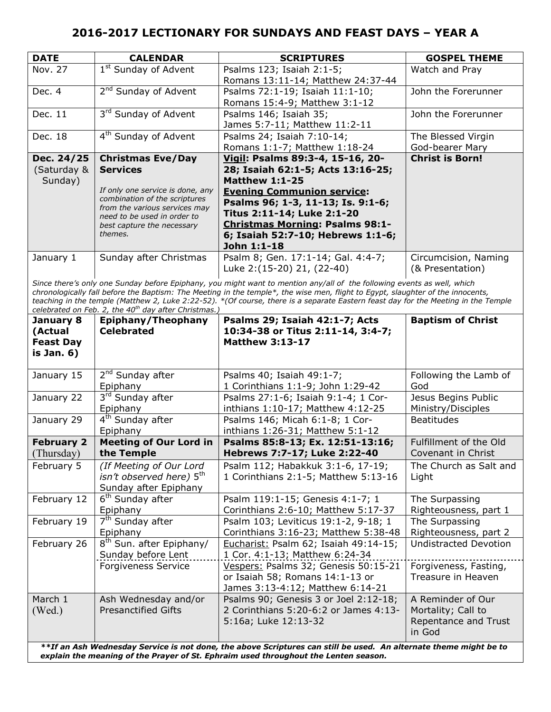| <b>DATE</b>                          | <b>CALENDAR</b>                                                                                                                                                                                                           | <b>SCRIPTURES</b>                                                                                                                                                                                                                                                                                    | <b>GOSPEL THEME</b>                      |
|--------------------------------------|---------------------------------------------------------------------------------------------------------------------------------------------------------------------------------------------------------------------------|------------------------------------------------------------------------------------------------------------------------------------------------------------------------------------------------------------------------------------------------------------------------------------------------------|------------------------------------------|
| Nov. 27                              | 1 <sup>st</sup> Sunday of Advent                                                                                                                                                                                          | Psalms 123; Isaiah 2:1-5;<br>Romans 13:11-14; Matthew 24:37-44                                                                                                                                                                                                                                       | Watch and Pray                           |
| Dec. 4                               | 2 <sup>nd</sup> Sunday of Advent                                                                                                                                                                                          | Psalms 72:1-19; Isaiah 11:1-10;<br>Romans 15:4-9; Matthew 3:1-12                                                                                                                                                                                                                                     | John the Forerunner                      |
| Dec. 11                              | 3rd Sunday of Advent                                                                                                                                                                                                      | Psalms 146; Isaiah 35;<br>James 5:7-11; Matthew 11:2-11                                                                                                                                                                                                                                              | John the Forerunner                      |
| Dec. 18                              | 4 <sup>th</sup> Sunday of Advent                                                                                                                                                                                          | Psalms 24; Isaiah 7:10-14;<br>Romans 1:1-7; Matthew 1:18-24                                                                                                                                                                                                                                          | The Blessed Virgin<br>God-bearer Mary    |
| Dec. 24/25<br>(Saturday &<br>Sunday) | <b>Christmas Eve/Day</b><br><b>Services</b><br>If only one service is done, any<br>combination of the scriptures<br>from the various services may<br>need to be used in order to<br>best capture the necessary<br>themes. | Vigil: Psalms 89:3-4, 15-16, 20-<br>28; Isaiah 62:1-5; Acts 13:16-25;<br><b>Matthew 1:1-25</b><br><b>Evening Communion service:</b><br>Psalms 96; 1-3, 11-13; Is. 9:1-6;<br>Titus 2:11-14; Luke 2:1-20<br><b>Christmas Morning: Psalms 98:1-</b><br>6; Isaiah 52:7-10; Hebrews 1:1-6;<br>John 1:1-18 | <b>Christ is Born!</b>                   |
| January 1                            | Sunday after Christmas                                                                                                                                                                                                    | Psalm 8; Gen. 17:1-14; Gal. 4:4-7;<br>Luke 2:(15-20) 21, (22-40)                                                                                                                                                                                                                                     | Circumcision, Naming<br>(& Presentation) |

*Since there's only one Sunday before Epiphany, you might want to mention any/all of the following events as well, which chronologically fall before the Baptism: The Meeting in the temple\*, the wise men, flight to Egypt, slaughter of the innocents, teaching in the temple (Matthew 2, Luke 2:22-52). \*(Of course, there is a separate Eastern feast day for the Meeting in the Temple celebrated on Feb. 2, the 40th day after Christmas.)*

| January 8<br>(Actual<br><b>Feast Day</b><br>is Jan. 6) | Epiphany/Theophany<br><b>Celebrated</b>                                      | Psalms 29; Isaiah 42:1-7; Acts<br>10:34-38 or Titus 2:11-14, 3:4-7;<br><b>Matthew 3:13-17</b>                                                                                                                               | <b>Baptism of Christ</b>                                                  |
|--------------------------------------------------------|------------------------------------------------------------------------------|-----------------------------------------------------------------------------------------------------------------------------------------------------------------------------------------------------------------------------|---------------------------------------------------------------------------|
| January 15                                             | 2 <sup>nd</sup> Sunday after<br>Epiphany                                     | Psalms 40; Isaiah 49:1-7;<br>1 Corinthians 1:1-9; John 1:29-42                                                                                                                                                              | Following the Lamb of<br>God                                              |
| January 22                                             | 3rd Sunday after<br>Epiphany                                                 | Psalms 27:1-6; Isaiah 9:1-4; 1 Cor-<br>inthians 1:10-17; Matthew 4:12-25                                                                                                                                                    | Jesus Begins Public<br>Ministry/Disciples                                 |
| January 29                                             | 4 <sup>th</sup> Sunday after<br>Epiphany                                     | Psalms 146; Micah 6:1-8; 1 Cor-<br>inthians 1:26-31; Matthew 5:1-12                                                                                                                                                         | <b>Beatitudes</b>                                                         |
| <b>February 2</b><br>(Thursday)                        | <b>Meeting of Our Lord in</b><br>the Temple                                  | Psalms 85:8-13; Ex. 12:51-13:16;<br>Hebrews 7:7-17; Luke 2:22-40                                                                                                                                                            | Fulfillment of the Old<br>Covenant in Christ                              |
| February 5                                             | (If Meeting of Our Lord<br>isn't observed here) 5th<br>Sunday after Epiphany | Psalm 112; Habakkuk 3:1-6, 17-19;<br>1 Corinthians 2:1-5; Matthew 5:13-16                                                                                                                                                   | The Church as Salt and<br>Light                                           |
| February 12                                            | 6 <sup>th</sup> Sunday after<br>Epiphany                                     | Psalm 119:1-15; Genesis 4:1-7; 1<br>Corinthians 2:6-10; Matthew 5:17-37                                                                                                                                                     | The Surpassing<br>Righteousness, part 1                                   |
| February 19                                            | 7 <sup>th</sup> Sunday after<br>Epiphany                                     | Psalm 103; Leviticus 19:1-2, 9-18; 1<br>Corinthians 3:16-23; Matthew 5:38-48                                                                                                                                                | The Surpassing<br>Righteousness, part 2                                   |
| February 26                                            | 8 <sup>th</sup> Sun. after Epiphany/<br>Sunday before Lent                   | Eucharist: Psalm 62; Isaiah 49:14-15;<br>1 Cor. 4:1-13; Matthew 6:24-34                                                                                                                                                     | <b>Undistracted Devotion</b>                                              |
|                                                        | <b>Forgiveness Service</b>                                                   | Vespers: Psalms 32; Genesis 50:15-21<br>or Isaiah 58; Romans 14:1-13 or<br>James 3:13-4:12; Matthew 6:14-21                                                                                                                 | Forgiveness, Fasting,<br>Treasure in Heaven                               |
| March 1<br>(Wed.)                                      | Ash Wednesday and/or<br><b>Presanctified Gifts</b>                           | Psalms 90; Genesis 3 or Joel 2:12-18;<br>2 Corinthians 5:20-6:2 or James 4:13-<br>5:16a; Luke 12:13-32<br>**If an Ach Wadnesday Service is not done, the above Scriptures can still he used. An alternate theme might he to | A Reminder of Our<br>Mortality; Call to<br>Repentance and Trust<br>in God |

*\*\*If an Ash Wednesday Service is not done, the above Scriptures can still be used. An alternate theme might be to explain the meaning of the Prayer of St. Ephraim used throughout the Lenten season.*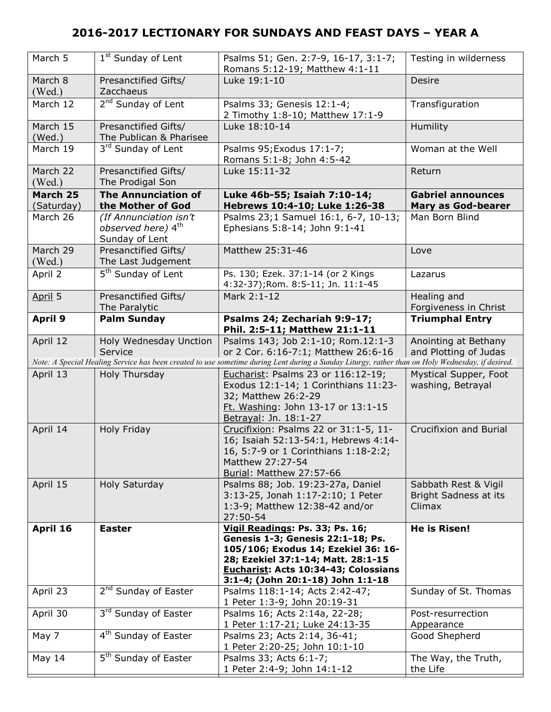| March 5                | 1 <sup>st</sup> Sunday of Lent                                             | Psalms 51; Gen. 2:7-9, 16-17, 3:1-7;<br>Romans 5:12-19; Matthew 4:1-11                                                                                                                                                         | Testing in wilderness                                   |
|------------------------|----------------------------------------------------------------------------|--------------------------------------------------------------------------------------------------------------------------------------------------------------------------------------------------------------------------------|---------------------------------------------------------|
| March 8<br>(Wed.)      | Presanctified Gifts/<br>Zacchaeus                                          | Luke 19:1-10                                                                                                                                                                                                                   | <b>Desire</b>                                           |
| March 12               | 2 <sup>nd</sup> Sunday of Lent                                             | Psalms 33; Genesis 12:1-4;<br>2 Timothy 1:8-10; Matthew 17:1-9                                                                                                                                                                 | Transfiguration                                         |
| March 15<br>(Wed.)     | Presanctified Gifts/<br>The Publican & Pharisee                            | Luke 18:10-14                                                                                                                                                                                                                  | Humility                                                |
| March 19               | 3rd Sunday of Lent                                                         | Psalms 95; Exodus 17:1-7;<br>Romans 5:1-8; John 4:5-42                                                                                                                                                                         | Woman at the Well                                       |
| March 22<br>(Wed.)     | Presanctified Gifts/<br>The Prodigal Son                                   | Luke 15:11-32                                                                                                                                                                                                                  | Return                                                  |
| March 25<br>(Saturday) | <b>The Annunciation of</b><br>the Mother of God                            | Luke 46b-55; Isaiah 7:10-14;<br>Hebrews 10:4-10; Luke 1:26-38                                                                                                                                                                  | <b>Gabriel announces</b><br><b>Mary as God-bearer</b>   |
| March 26               | (If Annunciation isn't<br>observed here) 4 <sup>th</sup><br>Sunday of Lent | Psalms 23;1 Samuel 16:1, 6-7, 10-13;<br>Ephesians 5:8-14; John 9:1-41                                                                                                                                                          | Man Born Blind                                          |
| March 29<br>(Wed.)     | Presanctified Gifts/<br>The Last Judgement                                 | Matthew 25:31-46                                                                                                                                                                                                               | Love                                                    |
| April 2                | 5 <sup>th</sup> Sunday of Lent                                             | Ps. 130; Ezek. 37:1-14 (or 2 Kings<br>4:32-37); Rom. 8:5-11; Jn. 11:1-45                                                                                                                                                       | Lazarus                                                 |
| April 5                | Presanctified Gifts/<br>The Paralytic                                      | Mark 2:1-12                                                                                                                                                                                                                    | Healing and<br>Forgiveness in Christ                    |
| <b>April 9</b>         | <b>Palm Sunday</b>                                                         | Psalms 24; Zechariah 9:9-17;<br>Phil. 2:5-11; Matthew 21:1-11                                                                                                                                                                  | <b>Triumphal Entry</b>                                  |
| April 12               | Holy Wednesday Unction<br>Service                                          | Psalms 143; Job 2:1-10; Rom.12:1-3<br>or 2 Cor. 6:16-7:1; Matthew 26:6-16                                                                                                                                                      | Anointing at Bethany<br>and Plotting of Judas           |
|                        |                                                                            | Note: A Special Healing Service has been created to use sometime during Lent during a Sunday Liturgy, rather than on Holy Wednesday, if desired.                                                                               |                                                         |
|                        |                                                                            |                                                                                                                                                                                                                                |                                                         |
| April 13               | Holy Thursday                                                              | Eucharist: Psalms 23 or 116:12-19;<br>Exodus 12:1-14; 1 Corinthians 11:23-<br>32; Matthew 26:2-29<br>Ft. Washing: John 13-17 or 13:1-15                                                                                        | Mystical Supper, Foot<br>washing, Betrayal              |
| April 14               | Holy Friday                                                                | Betrayal: Jn. 18:1-27<br>Crucifixion: Psalms 22 or 31:1-5, 11-<br>16; Isaiah 52:13-54:1, Hebrews 4:14-<br>16, 5:7-9 or 1 Corinthians 1:18-2:2;<br>Matthew 27:27-54                                                             | <b>Crucifixion and Burial</b>                           |
| April 15               | Holy Saturday                                                              | Burial: Matthew 27:57-66<br>Psalms 88; Job. 19:23-27a, Daniel<br>3:13-25, Jonah 1:17-2:10; 1 Peter<br>1:3-9; Matthew 12:38-42 and/or<br>27:50-54                                                                               | Sabbath Rest & Vigil<br>Bright Sadness at its<br>Climax |
| April 16               | <b>Easter</b>                                                              | Vigil Readings: Ps. 33; Ps. 16;<br>Genesis 1-3; Genesis 22:1-18; Ps.<br>105/106; Exodus 14; Ezekiel 36: 16-<br>28; Ezekiel 37:1-14; Matt. 28:1-15<br>Eucharist: Acts 10:34-43; Colossians<br>3:1-4; (John 20:1-18) John 1:1-18 | He is Risen!                                            |
| April 23               | 2 <sup>nd</sup> Sunday of Easter                                           | Psalms 118:1-14; Acts 2:42-47;                                                                                                                                                                                                 | Sunday of St. Thomas                                    |
| April 30               | 3 <sup>rd</sup> Sunday of Easter                                           | 1 Peter 1:3-9; John 20:19-31<br>Psalms 16; Acts 2:14a, 22-28;<br>1 Peter 1:17-21; Luke 24:13-35                                                                                                                                | Post-resurrection<br>Appearance                         |
| May 7                  | 4 <sup>th</sup> Sunday of Easter                                           | Psalms 23; Acts 2:14, 36-41;<br>1 Peter 2:20-25; John 10:1-10                                                                                                                                                                  | Good Shepherd                                           |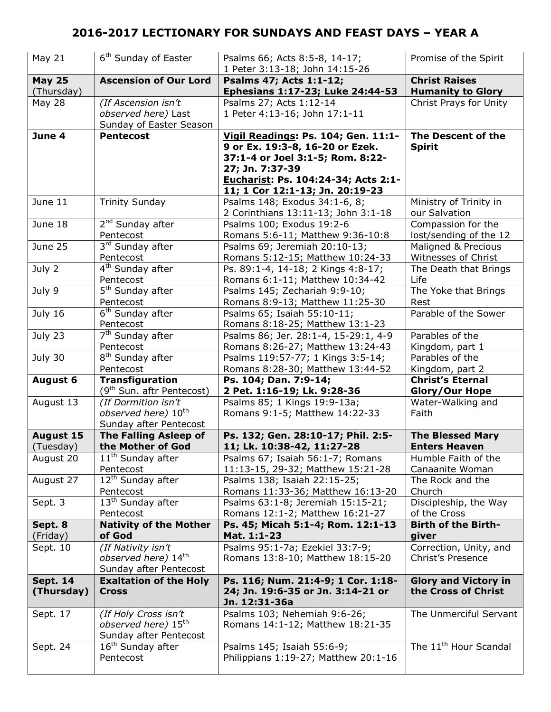| May 21                        | 6 <sup>th</sup> Sunday of Easter                                                  | Psalms 66; Acts 8:5-8, 14-17;<br>1 Peter 3:13-18; John 14:15-26                                                                                                                                         | Promise of the Spirit                              |
|-------------------------------|-----------------------------------------------------------------------------------|---------------------------------------------------------------------------------------------------------------------------------------------------------------------------------------------------------|----------------------------------------------------|
| <b>May 25</b>                 | <b>Ascension of Our Lord</b>                                                      | Psalms 47; Acts 1:1-12;                                                                                                                                                                                 | <b>Christ Raises</b>                               |
| (Thursday)                    |                                                                                   | Ephesians 1:17-23; Luke 24:44-53                                                                                                                                                                        | <b>Humanity to Glory</b>                           |
| <b>May 28</b>                 | (If Ascension isn't<br>observed here) Last<br>Sunday of Easter Season             | Psalms 27; Acts 1:12-14<br>1 Peter 4:13-16; John 17:1-11                                                                                                                                                | Christ Prays for Unity                             |
| June 4                        | <b>Pentecost</b>                                                                  | Vigil Readings: Ps. 104; Gen. 11:1-<br>9 or Ex. 19:3-8, 16-20 or Ezek.<br>37:1-4 or Joel 3:1-5; Rom. 8:22-<br>27; Jn. 7:37-39<br>Eucharist: Ps. 104:24-34; Acts 2:1-<br>11; 1 Cor 12:1-13; Jn. 20:19-23 | The Descent of the<br><b>Spirit</b>                |
| June 11                       | <b>Trinity Sunday</b>                                                             | Psalms 148; Exodus 34:1-6, 8;<br>2 Corinthians 13:11-13; John 3:1-18                                                                                                                                    | Ministry of Trinity in<br>our Salvation            |
| June 18                       | 2 <sup>nd</sup> Sunday after                                                      | Psalms 100; Exodus 19:2-6                                                                                                                                                                               | Compassion for the                                 |
|                               | Pentecost                                                                         | Romans 5:6-11; Matthew 9:36-10:8                                                                                                                                                                        | lost/sending of the 12                             |
| June 25                       | 3rd Sunday after                                                                  | Psalms 69; Jeremiah 20:10-13;                                                                                                                                                                           | Maligned & Precious                                |
|                               | Pentecost                                                                         | Romans 5:12-15; Matthew 10:24-33                                                                                                                                                                        | Witnesses of Christ                                |
| July 2                        | $\overline{4^{th}}$ Sunday after                                                  | Ps. 89:1-4, 14-18; 2 Kings 4:8-17;                                                                                                                                                                      | The Death that Brings                              |
|                               | Pentecost                                                                         | Romans 6:1-11; Matthew 10:34-42                                                                                                                                                                         | Life                                               |
| July 9                        | 5 <sup>th</sup> Sunday after                                                      | Psalms 145; Zechariah 9:9-10;                                                                                                                                                                           | The Yoke that Brings                               |
|                               | Pentecost                                                                         | Romans 8:9-13; Matthew 11:25-30                                                                                                                                                                         | Rest                                               |
| July 16                       | 6 <sup>th</sup> Sunday after<br>Pentecost                                         | Psalms 65; Isaiah 55:10-11;<br>Romans 8:18-25; Matthew 13:1-23                                                                                                                                          | Parable of the Sower                               |
| July 23                       | 7 <sup>th</sup> Sunday after                                                      | Psalms 86; Jer. 28:1-4, 15-29:1, 4-9                                                                                                                                                                    | Parables of the                                    |
|                               | Pentecost                                                                         | Romans 8:26-27; Matthew 13:24-43                                                                                                                                                                        | Kingdom, part 1                                    |
| July 30                       | 8 <sup>th</sup> Sunday after                                                      | Psalms 119:57-77; 1 Kings 3:5-14;                                                                                                                                                                       | Parables of the                                    |
|                               | Pentecost                                                                         | Romans 8:28-30; Matthew 13:44-52                                                                                                                                                                        | Kingdom, part 2                                    |
| <b>August 6</b>               | <b>Transfiguration</b>                                                            | Ps. 104; Dan. 7:9-14;                                                                                                                                                                                   | <b>Christ's Eternal</b>                            |
|                               | (9 <sup>th</sup> Sun. aftr Pentecost)                                             | 2 Pet. 1:16-19; Lk. 9:28-36                                                                                                                                                                             | <b>Glory/Our Hope</b>                              |
| August 13                     | (If Dormition isn't<br>observed here) 10 <sup>th</sup><br>Sunday after Pentecost  | Psalms 85; 1 Kings 19:9-13a;<br>Romans 9:1-5; Matthew 14:22-33                                                                                                                                          | Water-Walking and<br>Faith                         |
| <b>August 15</b>              | The Falling Asleep of                                                             | Ps. 132; Gen. 28:10-17; Phil. 2:5-                                                                                                                                                                      | <b>The Blessed Mary</b>                            |
| (Tuesday)                     | the Mother of God                                                                 | 11; Lk. 10:38-42, 11:27-28                                                                                                                                                                              | <b>Enters Heaven</b>                               |
| August 20                     | $11th$ Sunday after                                                               | Psalms 67; Isaiah 56:1-7; Romans                                                                                                                                                                        | Humble Faith of the                                |
|                               | Pentecost                                                                         | 11:13-15, 29-32; Matthew 15:21-28                                                                                                                                                                       | Canaanite Woman                                    |
| August 27                     | 12 <sup>th</sup> Sunday after                                                     | Psalms 138; Isaiah 22:15-25;                                                                                                                                                                            | The Rock and the                                   |
|                               | Pentecost                                                                         | Romans 11:33-36; Matthew 16:13-20                                                                                                                                                                       | Church                                             |
| Sept. 3                       | 13 <sup>th</sup> Sunday after                                                     | Psalms 63:1-8; Jeremiah 15:15-21;                                                                                                                                                                       | Discipleship, the Way                              |
|                               | Pentecost                                                                         | Romans 12:1-2; Matthew 16:21-27                                                                                                                                                                         | of the Cross                                       |
| Sept. 8                       | <b>Nativity of the Mother</b>                                                     | Ps. 45; Micah 5:1-4; Rom. 12:1-13                                                                                                                                                                       | <b>Birth of the Birth-</b>                         |
| (Friday)                      | of God                                                                            | Mat. 1:1-23                                                                                                                                                                                             | giver                                              |
| Sept. 10                      | (If Nativity isn't<br>observed here) 14th<br>Sunday after Pentecost               | Psalms 95:1-7a; Ezekiel 33:7-9;<br>Romans 13:8-10; Matthew 18:15-20                                                                                                                                     | Correction, Unity, and<br>Christ's Presence        |
| <b>Sept. 14</b><br>(Thursday) | <b>Exaltation of the Holy</b><br><b>Cross</b>                                     | Ps. 116; Num. 21:4-9; 1 Cor. 1:18-<br>24; Jn. 19:6-35 or Jn. 3:14-21 or<br>Jn. 12:31-36a                                                                                                                | <b>Glory and Victory in</b><br>the Cross of Christ |
| Sept. 17                      | (If Holy Cross isn't<br>observed here) 15 <sup>th</sup><br>Sunday after Pentecost | Psalms 103; Nehemiah 9:6-26;<br>Romans 14:1-12; Matthew 18:21-35                                                                                                                                        | The Unmerciful Servant                             |
| Sept. 24                      | 16 <sup>th</sup> Sunday after<br>Pentecost                                        | Psalms 145; Isaiah 55:6-9;<br>Philippians 1:19-27; Matthew 20:1-16                                                                                                                                      | The 11 <sup>th</sup> Hour Scandal                  |